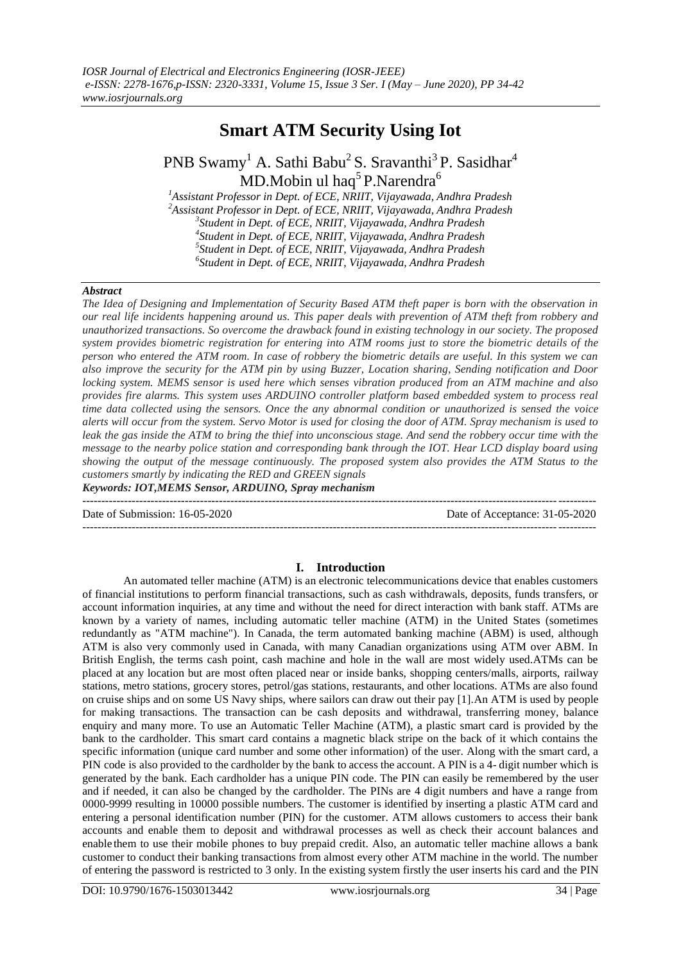# **Smart ATM Security Using Iot**

## PNB Swamy<sup>1</sup> A. Sathi Babu<sup>2</sup> S. Sravanthi<sup>3</sup> P. Sasidhar<sup>4</sup> MD.Mobin ul haq<sup>5</sup>P.Narendra<sup>6</sup>

*Assistant Professor in Dept. of ECE, NRIIT, Vijayawada, Andhra Pradesh Assistant Professor in Dept. of ECE, NRIIT, Vijayawada, Andhra Pradesh Student in Dept. of ECE, NRIIT, Vijayawada, Andhra Pradesh Student in Dept. of ECE, NRIIT, Vijayawada, Andhra Pradesh Student in Dept. of ECE, NRIIT, Vijayawada, Andhra Pradesh Student in Dept. of ECE, NRIIT, Vijayawada, Andhra Pradesh*

#### *Abstract*

*The Idea of Designing and Implementation of Security Based ATM theft paper is born with the observation in our real life incidents happening around us. This paper deals with prevention of ATM theft from robbery and unauthorized transactions. So overcome the drawback found in existing technology in our society. The proposed system provides biometric registration for entering into ATM rooms just to store the biometric details of the person who entered the ATM room. In case of robbery the biometric details are useful. In this system we can also improve the security for the ATM pin by using Buzzer, Location sharing, Sending notification and Door locking system. MEMS sensor is used here which senses vibration produced from an ATM machine and also provides fire alarms. This system uses ARDUINO controller platform based embedded system to process real time data collected using the sensors. Once the any abnormal condition or unauthorized is sensed the voice alerts will occur from the system. Servo Motor is used for closing the door of ATM. Spray mechanism is used to leak the gas inside the ATM to bring the thief into unconscious stage. And send the robbery occur time with the message to the nearby police station and corresponding bank through the IOT. Hear LCD display board using showing the output of the message continuously. The proposed system also provides the ATM Status to the customers smartly by indicating the RED and GREEN signals*

*Keywords: IOT,MEMS Sensor, ARDUINO, Spray mechanism*

--------------------------------------------------------------------------------------------------------------------------------------- Date of Submission: 16-05-2020 Date of Acceptance: 31-05-2020 ---------------------------------------------------------------------------------------------------------------------------------------

### **I. Introduction**

An automated teller machine (ATM) is an electronic telecommunications device that enables customers [of financial institutions t](https://en.wikipedia.org/wiki/Financial_institution)o perform [financial transactions,](https://en.wikipedia.org/wiki/Financial_transaction) such as cash withdrawals, deposits, funds transfers, or account information inquiries, at any time and without the need for direct interaction with bank staff. ATMs are known by a variety of names, including automatic teller machine (ATM) in the United States (sometimes [redundantly a](https://en.wikipedia.org/wiki/RAS_syndrome)s "ATM machine"). In Canada, the term automated banking machine (ABM) is used, although ATM is also very commonly used in Canada, with many Canadian organizations using ATM over ABM. In British English, the terms cash point, cash machine and hole in the wall are most widely used.ATMs can be placed at any location but are most often placed near or inside banks, shopping centers/malls, airports, [railway](https://en.wikipedia.org/wiki/Railway_station)  [stations,](https://en.wikipedia.org/wiki/Railway_station) [metro stations,](https://en.wikipedia.org/wiki/Metro_station) grocery stores, petrol/gas stations, restaurants, and other locations. ATMs are also found o[n cruise ships a](https://en.wikipedia.org/wiki/Cruise_ship)nd on some [US](https://en.wikipedia.org/wiki/US_Navy) [Navy s](https://en.wikipedia.org/wiki/US_Navy)hips, where sailors can draw out their pay [1].An ATM is used by people for making transactions. The transaction can be cash deposits and withdrawal, transferring money, balance enquiry and many more. To use an Automatic Teller Machine (ATM), a plastic smart card is provided by the bank to the cardholder. This smart card contains a magnetic black stripe on the back of it which contains the specific information (unique card number and some other information) of the user. Along with the smart card, a PIN code is also provided to the cardholder by the bank to access the account. A PIN is a 4- digit number which is generated by the bank. Each cardholder has a unique PIN code. The PIN can easily be remembered by the user and if needed, it can also be changed by the cardholder. The PINs are 4 digit numbers and have a range from 0000-9999 resulting in 10000 possible numbers. The customer is identified by inserting a plastic ATM card and entering a personal identification number (PIN) for the customer. ATM allows customers to access their bank accounts and enable them to deposit and withdrawal processes as well as check their account balances and enable them to use their mobile phones to buy prepaid credit. Also, an automatic teller machine allows a bank customer to conduct their banking transactions from almost every other ATM machine in the world. The number of entering the password is restricted to 3 only. In the existing system firstly the user inserts his card and the PIN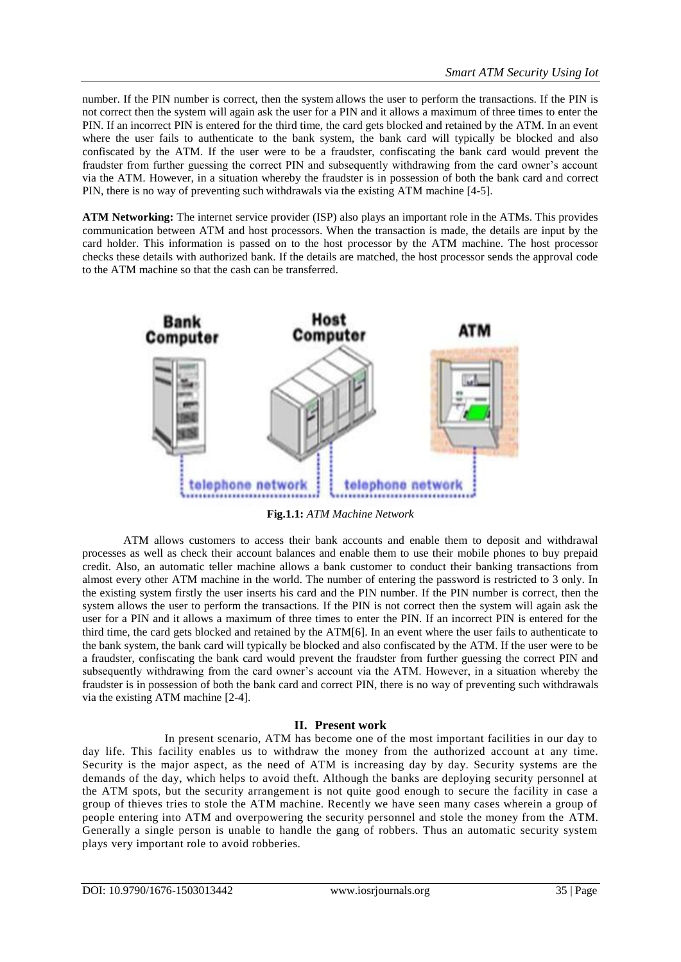number. If the PIN number is correct, then the system allows the user to perform the transactions. If the PIN is not correct then the system will again ask the user for a PIN and it allows a maximum of three times to enter the PIN. If an incorrect PIN is entered for the third time, the card gets blocked and retained by the ATM. In an event where the user fails to authenticate to the bank system, the bank card will typically be blocked and also confiscated by the ATM. If the user were to be a fraudster, confiscating the bank card would prevent the fraudster from further guessing the correct PIN and subsequently withdrawing from the card owner's account via the ATM. However, in a situation whereby the fraudster is in possession of both the bank card and correct PIN, there is no way of preventing such withdrawals via the existing ATM machine [4-5].

**ATM Networking:** The internet service provider (ISP) also plays an important role in the ATMs. This provides communication between ATM and host processors. When the transaction is made, the details are input by the card holder. This information is passed on to the host processor by the ATM machine. The host processor checks these details with authorized bank. If the details are matched, the host processor sends the approval code to the ATM machine so that the cash can be transferred.



**Fig.1.1:** *ATM Machine Network*

ATM allows customers to access their bank accounts and enable them to deposit and withdrawal processes as well as check their account balances and enable them to use their mobile phones to buy prepaid credit. Also, an automatic teller machine allows a bank customer to conduct their banking transactions from almost every other ATM machine in the world. The number of entering the password is restricted to 3 only. In the existing system firstly the user inserts his card and the PIN number. If the PIN number is correct, then the system allows the user to perform the transactions. If the PIN is not correct then the system will again ask the user for a PIN and it allows a maximum of three times to enter the PIN. If an incorrect PIN is entered for the third time, the card gets blocked and retained by the ATM[6]. In an event where the user fails to authenticate to the bank system, the bank card will typically be blocked and also confiscated by the ATM. If the user were to be a fraudster, confiscating the bank card would prevent the fraudster from further guessing the correct PIN and subsequently withdrawing from the card owner's account via the ATM. However, in a situation whereby the fraudster is in possession of both the bank card and correct PIN, there is no way of preventing such withdrawals via the existing ATM machine [2-4].

### **II. Present work**

In present scenario, ATM has become one of the most important facilities in our day to day life. This facility enables us to withdraw the money from the authorized account at any time. Security is the major aspect, as the need of ATM is increasing day by day. Security systems are the demands of the day, which helps to avoid theft. Although the banks are deploying security personnel at the ATM spots, but the security arrangement is not quite good enough to secure the facility in case a group of thieves tries to stole the ATM machine. Recently we have seen many cases wherein a group of people entering into ATM and overpowering the security personnel and stole the money from the ATM. Generally a single person is unable to handle the gang of robbers. Thus an automatic security system plays very important role to avoid robberies.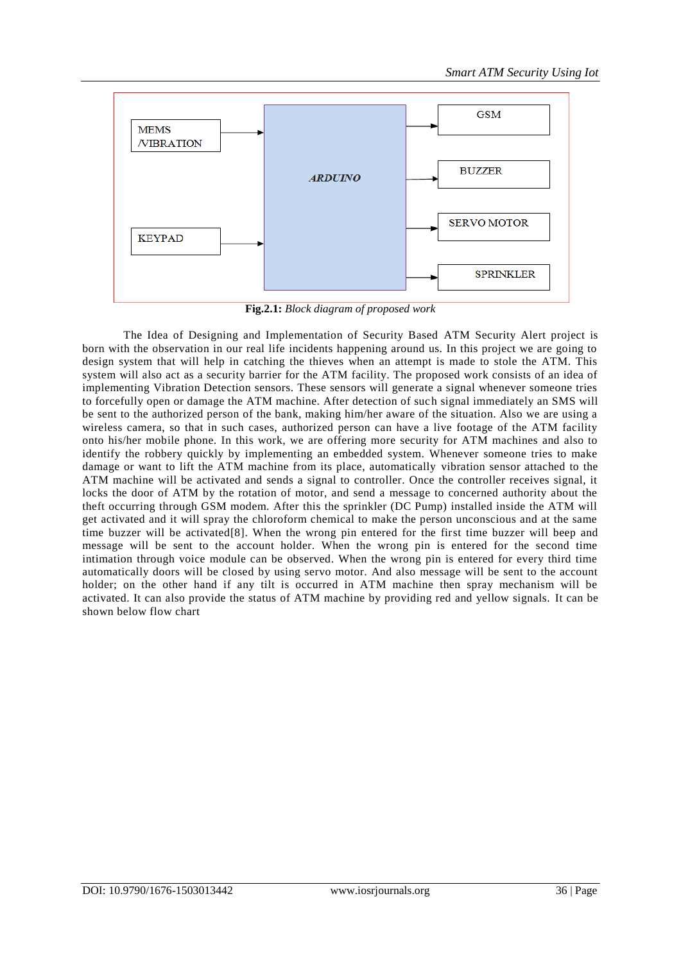

**Fig.2.1:** *Block diagram of proposed work*

The Idea of Designing and Implementation of Security Based ATM Security Alert project is born with the observation in our real life incidents happening around us. In this project we are going to design system that will help in catching the thieves when an attempt is made to stole the ATM. This system will also act as a security barrier for the ATM facility. The proposed work consists of an idea of implementing Vibration Detection sensors. These sensors will generate a signal whenever someone tries to forcefully open or damage the ATM machine. After detection of such signal immediately an SMS will be sent to the authorized person of the bank, making him/her aware of the situation. Also we are using a wireless camera, so that in such cases, authorized person can have a live footage of the ATM facility onto his/her mobile phone. In this work, we are offering more security for ATM machines and also to identify the robbery quickly by implementing an embedded system. Whenever someone tries to make damage or want to lift the ATM machine from its place, automatically vibration sensor attached to the ATM machine will be activated and sends a signal to controller. Once the controller receives signal, it locks the door of ATM by the rotation of motor, and send a message to concerned authority about the theft occurring through GSM modem. After this the sprinkler (DC Pump) installed inside the ATM will get activated and it will spray the chloroform chemical to make the person unconscious and at the same time buzzer will be activated[8]. When the wrong pin entered for the first time buzzer will beep and message will be sent to the account holder. When the wrong pin is entered for the second time intimation through voice module can be observed. When the wrong pin is entered for every third time automatically doors will be closed by using servo motor. And also message will be sent to the account holder; on the other hand if any tilt is occurred in ATM machine then spray mechanism will be activated. It can also provide the status of ATM machine by providing red and yellow signals. It can be shown below flow chart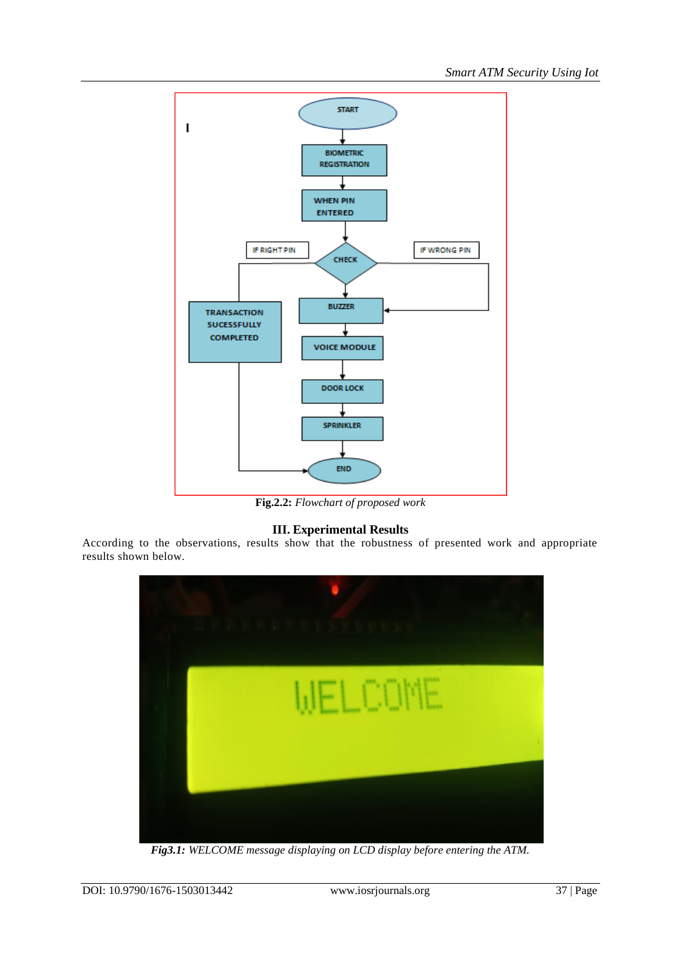

**Fig.2.2:** *Flowchart of proposed work*

## **III. Experimental Results**

According to the observations, results show that the robustness of presented work and appropriate results shown below.



*Fig3.1: WELCOME message displaying on LCD display before entering the ATM.*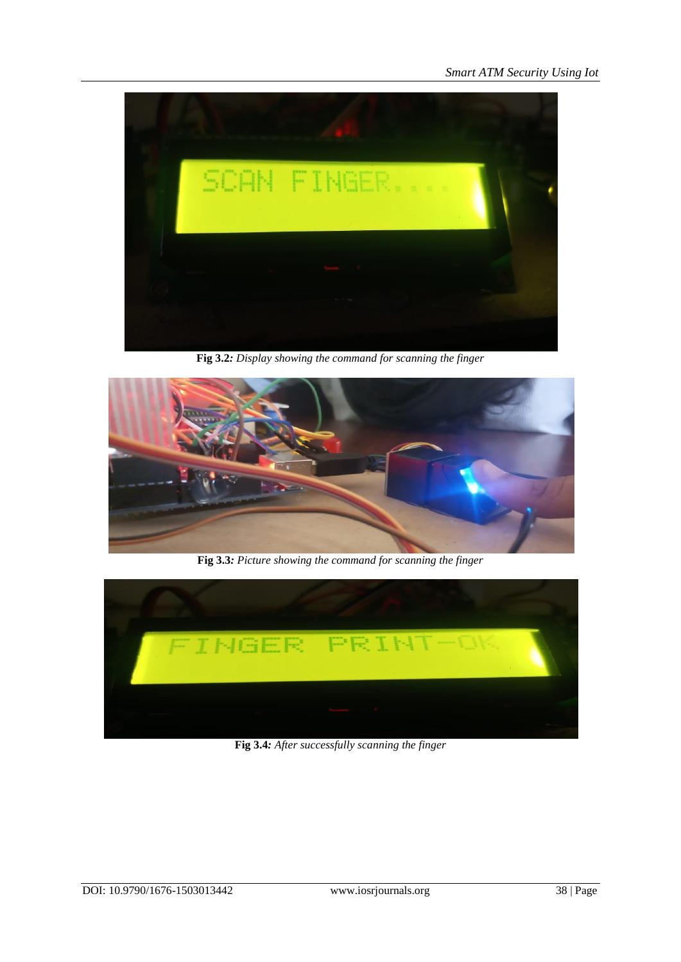

**Fig 3.2***: Display showing the command for scanning the finger*



**Fig 3.3***: Picture showing the command for scanning the finger*



**Fig 3.4***: After successfully scanning the finger*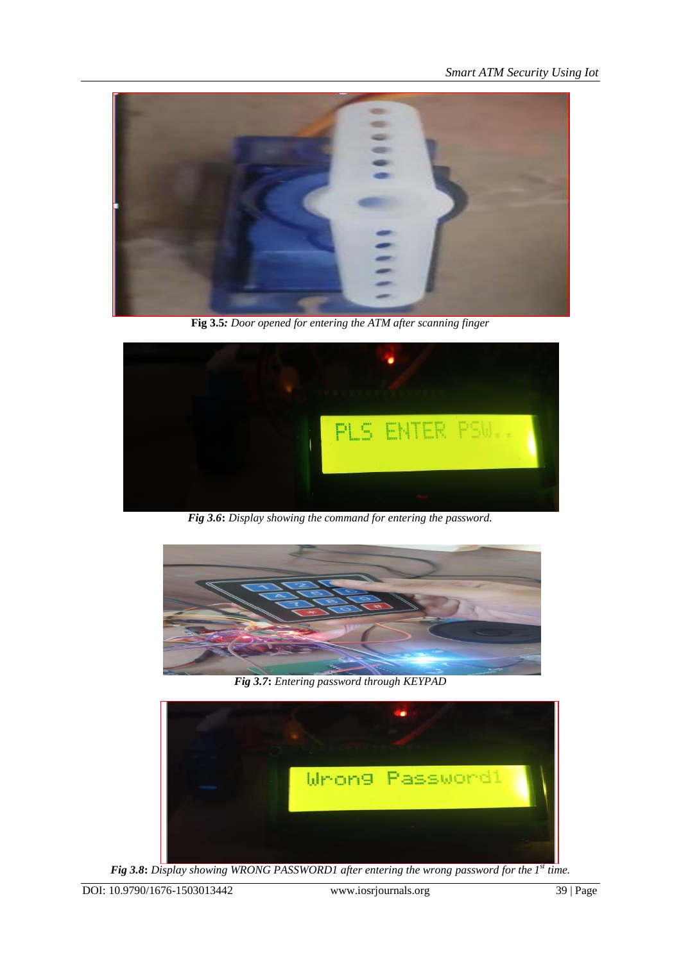*Smart ATM Security Using Iot*



**Fig 3.5***: Door opened for entering the ATM after scanning finger*



*Fig 3.6***:** *Display showing the command for entering the password.*



*Fig 3.7***:** *Entering password through KEYPAD*



*Fig 3.8***:** *Display showing WRONG PASSWORD1 after entering the wrong password for the 1 st time.*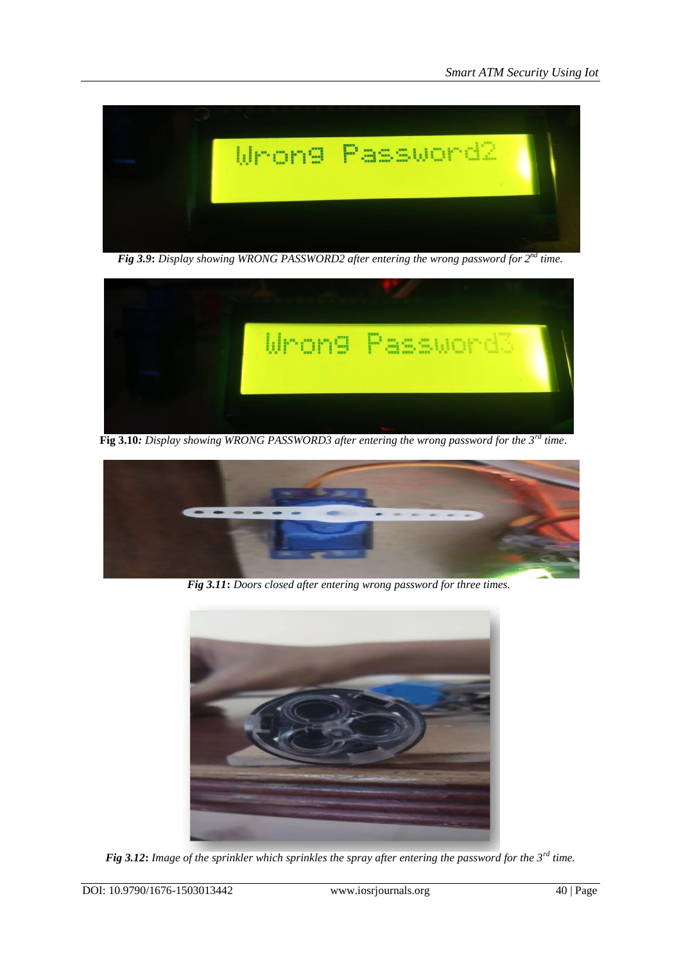

Fig 3.9: Display showing WRONG PASSWORD2 after entering the wrong password for  $2^{nd}$  time.



 **Fig 3.10***: Display showing WRONG PASSWORD3 after entering the wrong password for the 3rd time*.



 *Fig 3.11***:** *Doors closed after entering wrong password for three times.*



*Fig 3.12***:** *Image of the sprinkler which sprinkles the spray after entering the password for the 3rd time.*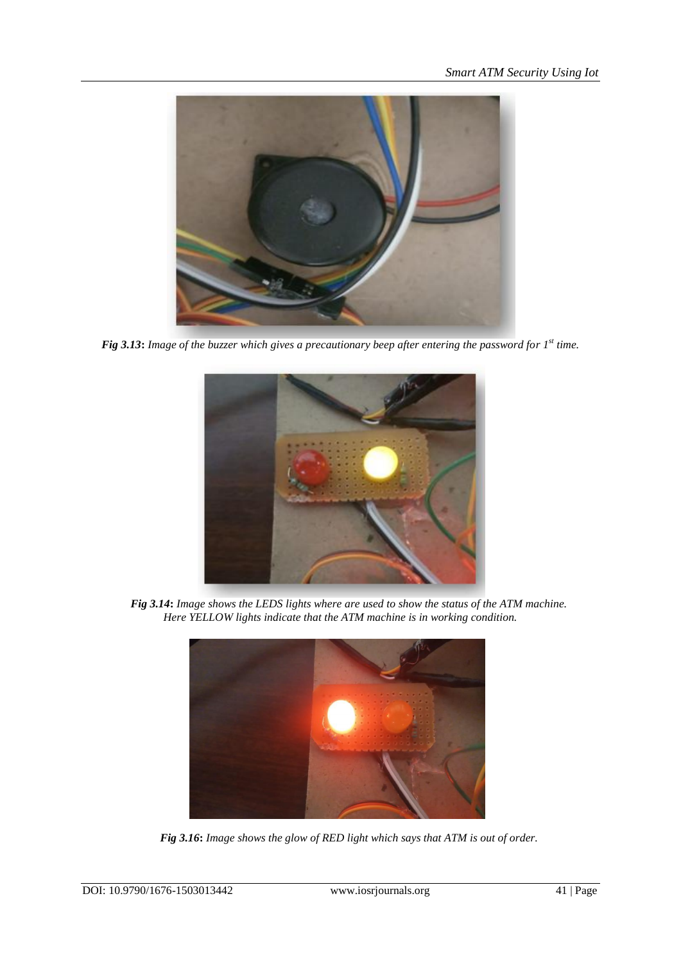

*Fig 3.13***:** *Image of the buzzer which gives a precautionary beep after entering the password for 1 st time.*



 *Fig 3.14***:** *Image shows the LEDS lights where are used to show the status of the ATM machine. Here YELLOW lights indicate that the ATM machine is in working condition.*



 *Fig 3.16***:** *Image shows the glow of RED light which says that ATM is out of order.*